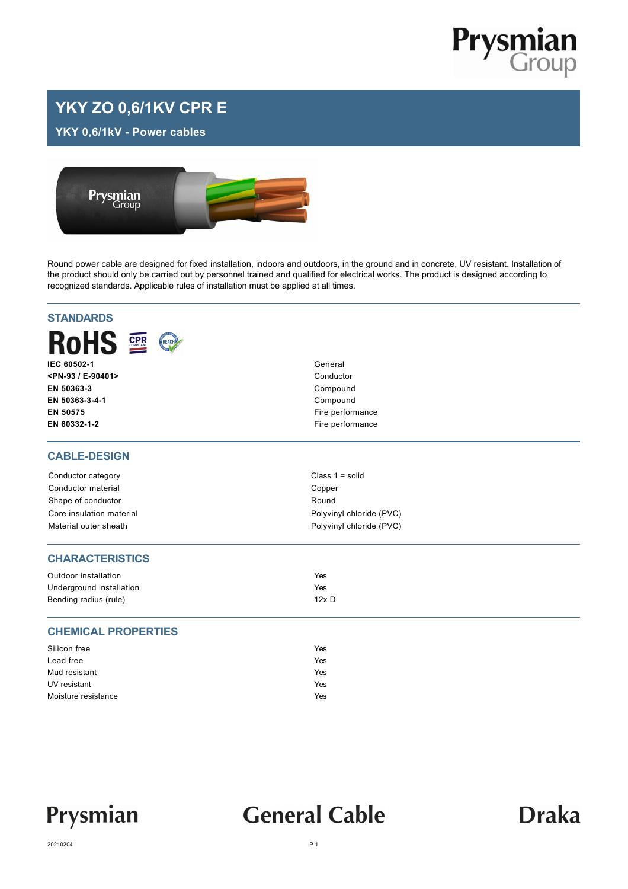

### **YKY ZO 0,6/1KV CPR E**

**YKY 0,6/1kV - Power cables**



Round power cable are designed for fixed installation, indoors and outdoors, in the ground and in concrete, UV resistant. Installation of the product should only be carried out by personnel trained and qualified for electrical works. The product is designed according to recognized standards. Applicable rules of installation must be applied at all times.

| <b>STANDARDS</b>           |                          |  |  |  |  |
|----------------------------|--------------------------|--|--|--|--|
| RoHS <b>R</b><br>REACH     |                          |  |  |  |  |
| IEC 60502-1                | General                  |  |  |  |  |
| <pn-93 e-90401=""></pn-93> | Conductor                |  |  |  |  |
| EN 50363-3                 | Compound                 |  |  |  |  |
| EN 50363-3-4-1             | Compound                 |  |  |  |  |
| EN 50575                   | Fire performance         |  |  |  |  |
| EN 60332-1-2               | Fire performance         |  |  |  |  |
| <b>CABLE-DESIGN</b>        |                          |  |  |  |  |
| Conductor category         | Class $1 = solid$        |  |  |  |  |
| Conductor material         | Copper                   |  |  |  |  |
| Shape of conductor         | Round                    |  |  |  |  |
| Core insulation material   | Polyvinyl chloride (PVC) |  |  |  |  |
| Material outer sheath      | Polyvinyl chloride (PVC) |  |  |  |  |
| <b>CHARACTERISTICS</b>     |                          |  |  |  |  |
| Outdoor installation       | Yes                      |  |  |  |  |
| Underground installation   | Yes                      |  |  |  |  |
| Bending radius (rule)      | $12x$ D                  |  |  |  |  |
| <b>CHEMICAL PROPERTIES</b> |                          |  |  |  |  |
| Silicon free               | Yes                      |  |  |  |  |
| Lead free                  | Yes                      |  |  |  |  |
| Mud resistant              | Yes                      |  |  |  |  |
| UV resistant               | Yes                      |  |  |  |  |
| Moisture resistance        | Yes                      |  |  |  |  |

## Prysmian

## **General Cable**